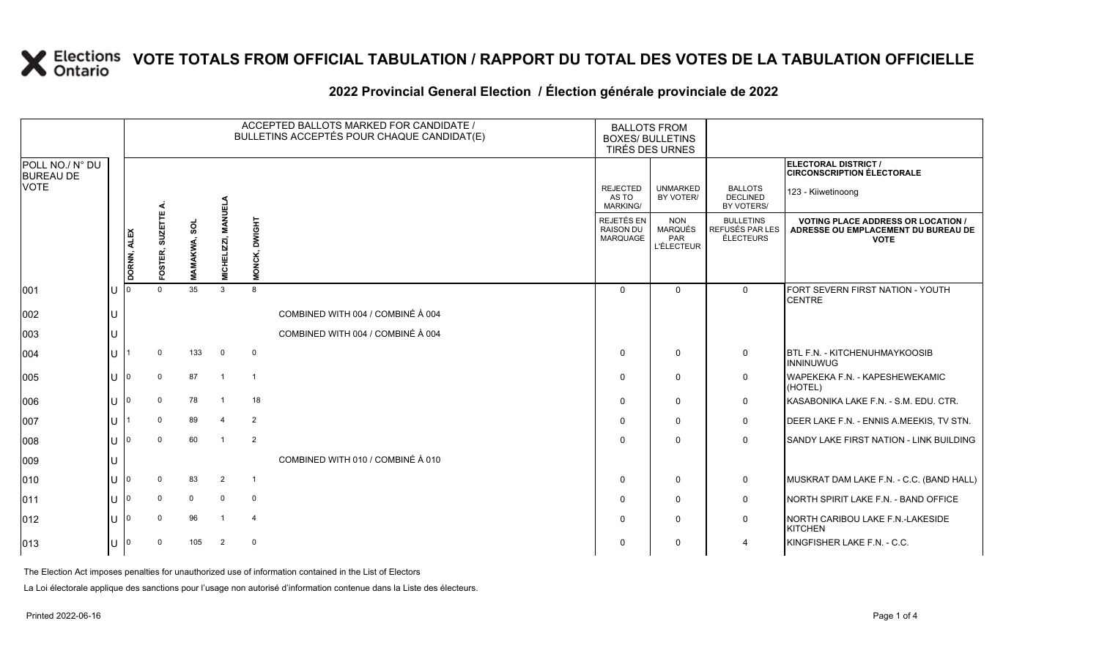### **VOTE TOTALS FROM OFFICIAL TABULATION / RAPPORT DU TOTAL DES VOTES DE LA TABULATION OFFICIELLE**

#### 2022 Provincial General Election / Election générale provinciale de 2022

|                                     |    | ACCEPTED BALLOTS MARKED FOR CANDIDATE /<br>BULLETINS ACCEPTÉS POUR CHAQUE CANDIDAT(E) |                           |              |                        |                         |                                   | <b>BALLOTS FROM</b><br><b>BOXES/ BULLETINS</b><br>TIRÉS DES URNES |                                                          |                                                        |                                                                                                 |
|-------------------------------------|----|---------------------------------------------------------------------------------------|---------------------------|--------------|------------------------|-------------------------|-----------------------------------|-------------------------------------------------------------------|----------------------------------------------------------|--------------------------------------------------------|-------------------------------------------------------------------------------------------------|
| POLL NO./ N° DU<br><b>BUREAU DE</b> |    |                                                                                       |                           |              |                        |                         |                                   |                                                                   |                                                          |                                                        | ELECTORAL DISTRICT /<br><b>CIRCONSCRIPTION ÉLECTORALE</b>                                       |
| <b>VOTE</b>                         |    |                                                                                       |                           |              |                        |                         |                                   | <b>REJECTED</b><br>AS TO<br><b>MARKING/</b>                       | <b>UNMARKED</b><br>BY VOTER/                             | <b>BALLOTS</b><br><b>DECLINED</b><br><b>BY VOTERS/</b> | 123 - Kiiwetinoong                                                                              |
|                                     |    | DORNN, ALEX                                                                           | <b>SUZETTE</b><br>FOSTER, | MAMAKWA, SOL | MANUELA<br>MICHELIZZI, | <b>LHSMD</b><br>š<br>Ż. |                                   | REJETÉS EN<br><b>RAISON DU</b><br>MARQUAGE                        | <b>NON</b><br><b>MARQUÉS</b><br>PAR<br><b>L'ÉLECTEUR</b> | <b>BULLETINS</b><br>REFUSÉS PAR LES<br>ÉLECTEURS       | <b>VOTING PLACE ADDRESS OR LOCATION /</b><br>ADRESSE OU EMPLACEMENT DU BUREAU DE<br><b>VOTE</b> |
| 001                                 | ΙU |                                                                                       | $\Omega$                  | 35           | 3                      | 8                       |                                   | $\Omega$                                                          | $\mathbf{0}$                                             | $\mathbf{0}$                                           | FORT SEVERN FIRST NATION - YOUTH<br><b>CENTRE</b>                                               |
| 002                                 | Iυ |                                                                                       |                           |              |                        |                         | COMBINED WITH 004 / COMBINÉ À 004 |                                                                   |                                                          |                                                        |                                                                                                 |
| 003                                 | lu |                                                                                       |                           |              |                        |                         | COMBINED WITH 004 / COMBINÉ À 004 |                                                                   |                                                          |                                                        |                                                                                                 |
| 004                                 | IП |                                                                                       | $\Omega$                  | 133          | $\overline{0}$         | $\overline{0}$          |                                   | $\Omega$                                                          | $\mathbf{0}$                                             | $\mathsf{O}$                                           | <b>BTL F.N. - KITCHENUHMAYKOOSIB</b><br><b>INNINUWUG</b>                                        |
| 005                                 | lυ |                                                                                       | $\mathbf 0$               | 87           | $\overline{1}$         | $\overline{1}$          |                                   | $\Omega$                                                          | $\mathbf 0$                                              | $\mathbf 0$                                            | WAPEKEKA F.N. - KAPESHEWEKAMIC<br>(HOTEL)                                                       |
| 006                                 | ΙU |                                                                                       | $\mathbf{0}$              | 78           | - 1                    | 18                      |                                   | $\Omega$                                                          | $\mathbf{0}$                                             | $\mathbf 0$                                            | KASABONIKA LAKE F.N. - S.M. EDU. CTR.                                                           |
| 007                                 | IП |                                                                                       | $\Omega$                  | 89           | $\overline{4}$         | $\overline{2}$          |                                   | $\Omega$                                                          | $\mathbf{0}$                                             | $\mathbf 0$                                            | DEER LAKE F.N. - ENNIS A.MEEKIS, TV STN.                                                        |
| 008                                 | IП |                                                                                       | $\Omega$                  | 60           | $\overline{1}$         | $\overline{2}$          |                                   | $\Omega$                                                          | $\mathbf{0}$                                             | $\mathbf 0$                                            | SANDY LAKE FIRST NATION - LINK BUILDING                                                         |
| 009                                 | Iυ |                                                                                       |                           |              |                        |                         | COMBINED WITH 010 / COMBINÉ À 010 |                                                                   |                                                          |                                                        |                                                                                                 |
| 010                                 | lu |                                                                                       | $\Omega$                  | 83           | $\overline{2}$         | $\overline{1}$          |                                   | $\Omega$                                                          | $\mathbf{0}$                                             | $\mathsf{O}$                                           | MUSKRAT DAM LAKE F.N. - C.C. (BAND HALL)                                                        |
| $ 011\rangle$                       | Iп |                                                                                       | $\mathbf{0}$              | $\mathbf 0$  | $\mathbf 0$            | $\overline{\mathbf{0}}$ |                                   | $\Omega$                                                          | $\mathbf{0}$                                             | $\mathsf{O}$                                           | NORTH SPIRIT LAKE F.N. - BAND OFFICE                                                            |
| $ 012\rangle$                       | lu |                                                                                       | $\mathbf 0$               | 96           |                        | $\overline{4}$          |                                   | $\Omega$                                                          | $\Omega$                                                 | $\mathbf 0$                                            | NORTH CARIBOU LAKE F.N.-LAKESIDE<br><b>KITCHEN</b>                                              |
| $ 013\rangle$                       | Iυ |                                                                                       | $\mathbf 0$               | 105          | 2                      | $\overline{0}$          |                                   | $\Omega$                                                          | $\Omega$                                                 | 4                                                      | KINGFISHER LAKE F.N. - C.C.                                                                     |

The Election Act imposes penalties for unauthorized use of information contained in the List of Electors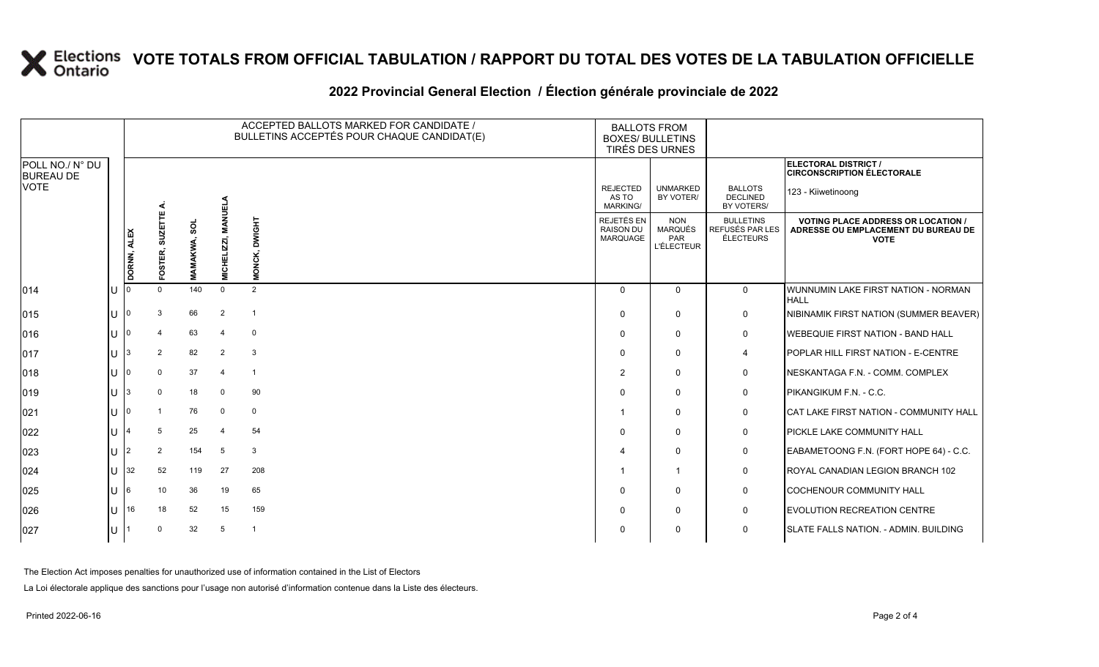# **X** Elections VOTE TOTALS FROM OFFICIAL TABULATION / RAPPORT DU TOTAL DES VOTES DE LA TABULATION OFFICIELLE

### **2022 Provincial General Election / Élection générale provinciale de 2022**

|                                     |   |                       |                  |     |                           | ACCEPTED BALLOTS MARKED FOR CANDIDATE /<br>BULLETINS ACCEPTÉS POUR CHAQUE CANDIDAT(E) | <b>BALLOTS FROM</b><br><b>BOXES/ BULLETINS</b><br>TIRÉS DES URNES |                                                   |                                                  |                                                                                               |
|-------------------------------------|---|-----------------------|------------------|-----|---------------------------|---------------------------------------------------------------------------------------|-------------------------------------------------------------------|---------------------------------------------------|--------------------------------------------------|-----------------------------------------------------------------------------------------------|
| POLL NO./ N° DU<br><b>BUREAU DE</b> |   |                       |                  |     |                           |                                                                                       |                                                                   |                                                   |                                                  | ELECTORAL DISTRICT /<br><b>CIRCONSCRIPTION ÉLECTORALE</b>                                     |
| VOTE                                |   |                       | ш                |     | <b>NET</b>                |                                                                                       | <b>REJECTED</b><br>AS TO<br><b>MARKING/</b>                       | <b>UNMARKED</b><br>BY VOTER/                      | <b>BALLOTS</b><br><b>DECLINED</b><br>BY VOTERS/  | 123 - Kiiwetinoong                                                                            |
|                                     |   | <b>ALEX</b><br>DORNN, | SUZETT<br>OSTER, | ន្ល | <u>N</u><br>)<br>이번<br>이번 | <b>THDIMC</b>                                                                         | <b>REJETÉS EN</b><br><b>RAISON DU</b><br>MARQUAGE                 | <b>NON</b><br>MARQUÉS<br>PAR<br><b>L'ÉLECTEUR</b> | <b>BULLETINS</b><br>REFUSÉS PAR LES<br>ÉLECTEURS | <b>VOTING PLACE ADDRESS OR LOCATION</b><br>ADRESSE OU EMPLACEMENT DU BUREAU DE<br><b>VOTE</b> |
| 014                                 |   |                       | $\Omega$         | 140 | $\Omega$                  | 2                                                                                     | $\Omega$                                                          | $\mathbf 0$                                       | $\mathbf 0$                                      | WUNNUMIN LAKE FIRST NATION - NORMAN<br><b>HALL</b>                                            |
| 015                                 |   |                       | 3                | 66  | $\overline{2}$            | -1                                                                                    | $\Omega$                                                          | 0                                                 | 0                                                | NIBINAMIK FIRST NATION (SUMMER BEAVER)                                                        |
| 016                                 |   |                       | 4                | 63  | -4                        | 0                                                                                     | $\Omega$                                                          | $\Omega$                                          | 0                                                | <b>IWEBEQUIE FIRST NATION - BAND HALL</b>                                                     |
| 017                                 |   |                       | 2                | 82  | $\overline{2}$            | 3                                                                                     | $\Omega$                                                          | $\mathbf{0}$                                      | 4                                                | POPLAR HILL FIRST NATION - E-CENTRE                                                           |
| 018                                 |   |                       | $\Omega$         | 37  | -4                        | $\mathbf{1}$                                                                          | 2                                                                 | $\Omega$                                          | 0                                                | NESKANTAGA F.N. - COMM. COMPLEX                                                               |
| 019                                 |   |                       | $\Omega$         | 18  | $\mathbf 0$               | 90                                                                                    | $\Omega$                                                          | $\Omega$                                          | 0                                                | PIKANGIKUM F.N. - C.C.                                                                        |
| 021                                 |   |                       |                  | 76  | $\mathbf 0$               | $\mathbf 0$                                                                           |                                                                   | $\Omega$                                          | 0                                                | CAT LAKE FIRST NATION - COMMUNITY HALL                                                        |
| 022                                 |   |                       | 5                | 25  | -4                        | 54                                                                                    | $\Omega$                                                          | $\mathbf 0$                                       | $\mathbf 0$                                      | <b>PICKLE LAKE COMMUNITY HALL</b>                                                             |
| 023                                 |   |                       | 2                | 154 | 5                         | 3                                                                                     |                                                                   | $\Omega$                                          | 0                                                | EABAMETOONG F.N. (FORT HOPE 64) - C.C.                                                        |
| 024                                 |   | 32                    | 52               | 119 | 27                        | 208                                                                                   |                                                                   | $\overline{1}$                                    | 0                                                | ROYAL CANADIAN LEGION BRANCH 102                                                              |
| 025                                 | U | 16                    | 10               | 36  | 19                        | 65                                                                                    | $\Omega$                                                          | $\Omega$                                          | $\mathbf 0$                                      | COCHENOUR COMMUNITY HALL                                                                      |
| 026                                 |   | 116                   | 18               | 52  | 15                        | 159                                                                                   | $\Omega$                                                          | $\Omega$                                          | 0                                                | <b>EVOLUTION RECREATION CENTRE</b>                                                            |
| 027                                 |   |                       | $\Omega$         | 32  | 5                         | -1                                                                                    | $\Omega$                                                          | $\Omega$                                          | 0                                                | SLATE FALLS NATION. - ADMIN. BUILDING                                                         |

The Election Act imposes penalties for unauthorized use of information contained in the List of Electors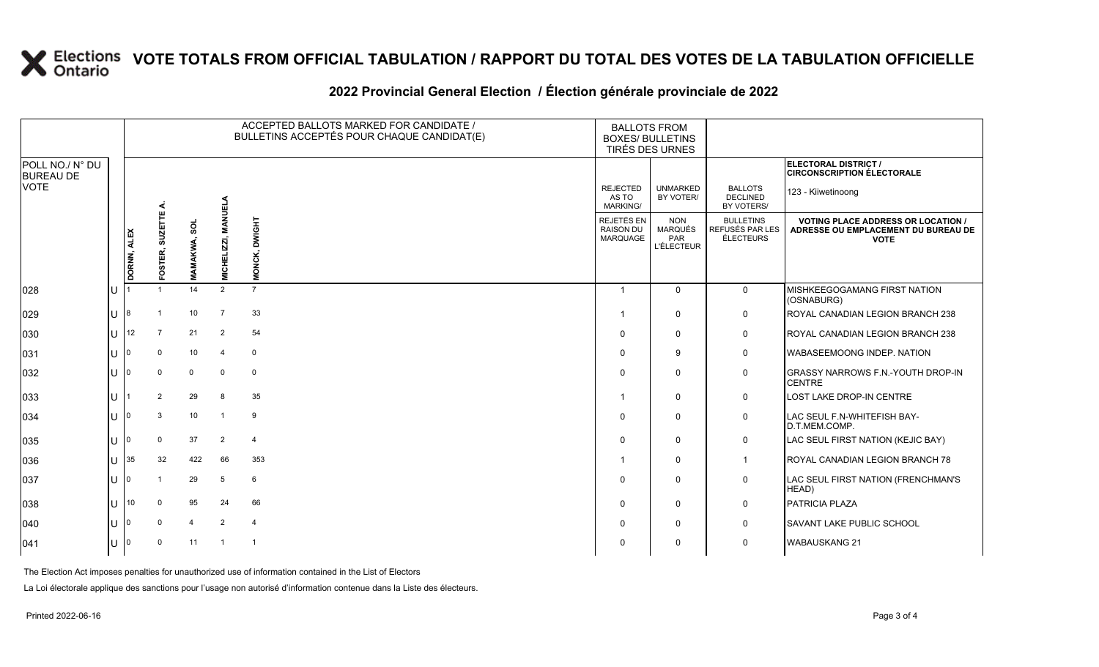# **X** Elections VOTE TOTALS FROM OFFICIAL TABULATION / RAPPORT DU TOTAL DES VOTES DE LA TABULATION OFFICIELLE

### **2022 Provincial General Election / Élection générale provinciale de 2022**

|                                     |     |             |                 |                     | ACCEPTED BALLOTS MARKED FOR CANDIDATE /<br>BULLETINS ACCEPTÉS POUR CHAQUE CANDIDAT(E) |                | <b>BALLOTS FROM</b><br><b>BOXES/ BULLETINS</b><br>TIRÉS DES URNES |                                                          |                                                         |                                                                                                 |
|-------------------------------------|-----|-------------|-----------------|---------------------|---------------------------------------------------------------------------------------|----------------|-------------------------------------------------------------------|----------------------------------------------------------|---------------------------------------------------------|-------------------------------------------------------------------------------------------------|
| POLL NO./ N° DU<br><b>BUREAU DE</b> |     |             |                 |                     |                                                                                       |                |                                                                   |                                                          |                                                         | ELECTORAL DISTRICT /<br><b>CIRCONSCRIPTION ÉLECTORALE</b>                                       |
| <b>VOTE</b>                         |     |             |                 |                     |                                                                                       |                | <b>REJECTED</b><br>AS TO<br><b>MARKING/</b>                       | <b>UNMARKED</b><br>BY VOTER/                             | <b>BALLOTS</b><br><b>DECLINED</b><br>BY VOTERS/         | 123 - Kiiwetinoong                                                                              |
|                                     |     | DORNN, ALEX | FOSTER, SUZETTE | <b>MAMAKWA, SOL</b> | <b>MICHELIZZI, MANUELA</b>                                                            | MONCK, DWIGHT  | REJETÉS EN<br><b>RAISON DU</b><br>MARQUAGE                        | <b>NON</b><br><b>MARQUÉS</b><br>PAR<br><b>L'ÉLECTEUR</b> | <b>BULLETINS</b><br>REFUSÉS PAR LES<br><b>ÉLECTEURS</b> | <b>VOTING PLACE ADDRESS OR LOCATION /</b><br>ADRESSE OU EMPLACEMENT DU BUREAU DE<br><b>VOTE</b> |
| 028                                 | lu  |             |                 | 14                  | 2                                                                                     | $\overline{7}$ |                                                                   | $\Omega$                                                 | $\mathbf 0$                                             | MISHKEEGOGAMANG FIRST NATION                                                                    |
|                                     |     |             |                 |                     |                                                                                       |                |                                                                   |                                                          |                                                         | (OSNABURG)                                                                                      |
| 029                                 | lu  | 8           |                 | 10                  | $\overline{7}$                                                                        | 33             |                                                                   | $\mathbf 0$                                              | $\mathbf 0$                                             | ROYAL CANADIAN LEGION BRANCH 238                                                                |
| 030                                 | Iυ. | 12          | $\overline{7}$  | 21                  | 2                                                                                     | 54             | $\Omega$                                                          | $\mathbf 0$                                              | 0                                                       | ROYAL CANADIAN LEGION BRANCH 238                                                                |
| 031                                 | lu  |             | $\mathbf 0$     | 10                  | $\overline{\mathbf{4}}$                                                               | $\mathbf 0$    | $\Omega$                                                          | 9                                                        | $\mathbf 0$                                             | <b>WABASEEMOONG INDEP. NATION</b>                                                               |
| 032                                 | lυ  |             | $\Omega$        | $\Omega$            | $\Omega$                                                                              | $\mathbf 0$    |                                                                   | $\mathbf 0$                                              | $\mathbf 0$                                             | <b>GRASSY NARROWS F.N.-YOUTH DROP-IN</b><br><b>CENTRE</b>                                       |
| 033                                 | Ιu  |             | $\mathbf{2}$    | 29                  | 8                                                                                     | 35             |                                                                   | $\mathbf 0$                                              | $\mathbf 0$                                             | <b>LOST LAKE DROP-IN CENTRE</b>                                                                 |
| 034                                 | lu  |             | 3               | 10                  | $\overline{1}$                                                                        | 9              | $\Omega$                                                          | $\mathbf 0$                                              | 0                                                       | LAC SEUL F.N-WHITEFISH BAY-<br>D.T.MEM.COMP.                                                    |
| 035                                 | lu  |             | $\mathbf 0$     | 37                  | 2                                                                                     | $\overline{4}$ | 0                                                                 | $\mathbf 0$                                              | $\mathbf 0$                                             | LAC SEUL FIRST NATION (KEJIC BAY)                                                               |
| 036                                 | lu  | 35          | 32              | 422                 | 66                                                                                    | 353            |                                                                   | $\mathbf 0$                                              | $\mathbf{1}$                                            | ROYAL CANADIAN LEGION BRANCH 78                                                                 |
| 037                                 | lu  |             |                 | 29                  | 5                                                                                     | 6              | $\Omega$                                                          | $\mathbf 0$                                              | $\mathbf 0$                                             | LAC SEUL FIRST NATION (FRENCHMAN'S<br>HEAD)                                                     |
| 038                                 | lu. | 10          | $\Omega$        | 95                  | 24                                                                                    | 66             | $\Omega$                                                          | $\mathbf 0$                                              | $\mathbf 0$                                             | PATRICIA PLAZA                                                                                  |
| $ 040\rangle$                       | lu  |             | $\mathbf 0$     | $\overline{4}$      | 2                                                                                     | $\overline{4}$ | $\Omega$                                                          | $\mathbf 0$                                              | $\mathbf 0$                                             | <b>SAVANT LAKE PUBLIC SCHOOL</b>                                                                |
| 041                                 | lu  |             | $\mathbf 0$     | 11                  | $\overline{1}$                                                                        | $\overline{1}$ |                                                                   | $\mathbf 0$                                              | 0                                                       | <b>WABAUSKANG 21</b>                                                                            |

The Election Act imposes penalties for unauthorized use of information contained in the List of Electors